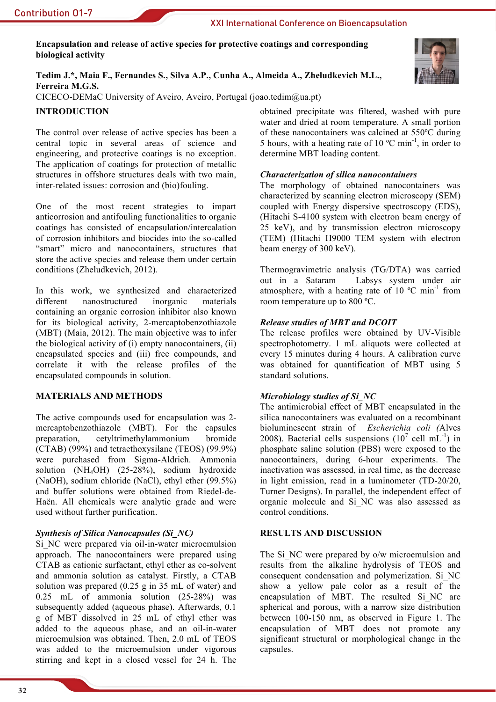XXI International Conference on Bioencapsulation

Encapsulation and release of active species for protective coatings and corresponding biological activity

Tedim J.\*, Maia F., Fernandes S., Silva A.P., Cunha A., Almeida A., Zheludkevich M.L., Ferreira M.G.S.

CICECO-DEMaC University of Aveiro, Aveiro, Portugal (joao.tedim@ua.pt)

# **INTRODUCTION**

The control over release of active species has been a central topic in several areas of science and engineering, and protective coatings is no exception. The application of coatings for protection of metallic structures in offshore structures deals with two main, inter-related issues: corrosion and (bio)fouling.

One of the most recent strategies to impart anticorrosion and antifouling functionalities to organic coatings has consisted of encapsulation/intercalation of corrosion inhibitors and biocides into the so-called "smart" micro and nanocontainers, structures that store the active species and release them under certain conditions (Zheludkevich, 2012).

In this work, we synthesized and characterized different nanostructured inorganic materials containing an organic corrosion inhibitor also known for its biological activity, 2-mercaptobenzothiazole (MBT) (Maia, 2012). The main objective was to infer the biological activity of (i) empty nanocontainers, (ii) encapsulated species and (iii) free compounds, and correlate it with the release profiles of the encapsulated compounds in solution.

#### **MATERIALS AND METHODS**

The active compounds used for encapsulation was 2mercaptobenzothiazole (MBT). For the capsules preparation. cetyltrimethylammonium bromide  $(CTAB)$  (99%) and tetraethoxysilane (TEOS) (99.9%) were purchased from Sigma-Aldrich. Ammonia solution (NH<sub>4</sub>OH) (25-28%), sodium hydroxide (NaOH), sodium chloride (NaCl), ethyl ether (99.5%) and buffer solutions were obtained from Riedel-de-Haën. All chemicals were analytic grade and were used without further purification.

#### **Synthesis of Silica Nanocapsules (Si NC)**

Si NC were prepared via oil-in-water microemulsion approach. The nanocontainers were prepared using CTAB as cationic surfactant, ethyl ether as co-solvent and ammonia solution as catalyst. Firstly, a CTAB solution was prepared  $(0.25 \text{ g} \text{ in } 35 \text{ mL of water})$  and  $0.25$  mL of ammonia solution  $(25-28%)$  was subsequently added (aqueous phase). Afterwards, 0.1 g of MBT dissolved in 25 mL of ethyl ether was added to the aqueous phase, and an oil-in-water microemulsion was obtained. Then, 2.0 mL of TEOS was added to the microemulsion under vigorous stirring and kept in a closed vessel for 24 h. The

obtained precipitate was filtered, washed with pure water and dried at room temperature. A small portion of these nanocontainers was calcined at 550°C during 5 hours, with a heating rate of 10  $^{\circ}$ C min<sup>-1</sup>, in order to determine MBT loading content.

# **Characterization of silica nanocontainers**

The morphology of obtained nanocontainers was characterized by scanning electron microscopy (SEM) coupled with Energy dispersive spectroscopy (EDS), (Hitachi S-4100 system with electron beam energy of 25 keV), and by transmission electron microscopy (TEM) (Hitachi H9000 TEM system with electron beam energy of 300 keV).

Thermogravimetric analysis (TG/DTA) was carried out in a Sataram - Labsys system under air atmosphere, with a heating rate of 10  $^{\circ}$ C min<sup>-1</sup> from room temperature up to 800 °C.

# **Release studies of MBT and DCOIT**

The release profiles were obtained by UV-Visible spectrophotometry. 1 mL aliquots were collected at every 15 minutes during 4 hours. A calibration curve was obtained for quantification of MBT using 5 standard solutions

# Microbiology studies of Si NC

The antimicrobial effect of MBT encapsulated in the silica nanocontainers was evaluated on a recombinant bioluminescent strain of Escherichia coli (Alves 2008). Bacterial cells suspensions  $(10^7 \text{ cell } mL^{-1})$  in phosphate saline solution (PBS) were exposed to the nanocontainers, during 6-hour experiments. The inactivation was assessed, in real time, as the decrease in light emission, read in a luminometer (TD-20/20, Turner Designs). In parallel, the independent effect of organic molecule and Si NC was also assessed as control conditions.

#### **RESULTS AND DISCUSSION**

The Si NC were prepared by o/w microemulsion and results from the alkaline hydrolysis of TEOS and consequent condensation and polymerization. Si NC show a yellow pale color as a result of the encapsulation of MBT. The resulted Si NC are spherical and porous, with a narrow size distribution between 100-150 nm, as observed in Figure 1. The encapsulation of MBT does not promote any significant structural or morphological change in the capsules.